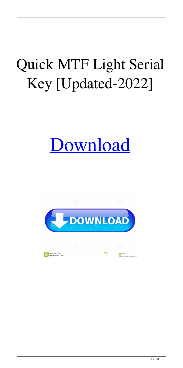## Quick MTF Light Serial Key [Updated-2022]

# [Download](http://evacdir.com/colluding?UXVpY2sgTVRGIExpZ2h0UXV=lumi&janeczko=ZG93bmxvYWR8NTlJTmpVemZId3hOalUwTkRNMk5qVTRmSHd5TlRrd2ZId29UU2tnVjI5eVpIQnlaWE56SUZ0WVRVeFNVRU1nVmpJZ1VFUkdYUQ.dependency.)

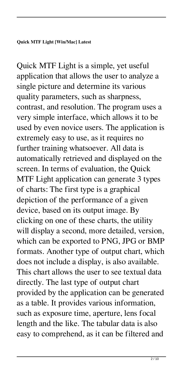Quick MTF Light is a simple, yet useful application that allows the user to analyze a single picture and determine its various quality parameters, such as sharpness, contrast, and resolution. The program uses a very simple interface, which allows it to be used by even novice users. The application is extremely easy to use, as it requires no further training whatsoever. All data is automatically retrieved and displayed on the screen. In terms of evaluation, the Quick MTF Light application can generate 3 types of charts: The first type is a graphical depiction of the performance of a given device, based on its output image. By clicking on one of these charts, the utility will display a second, more detailed, version, which can be exported to PNG, JPG or BMP formats. Another type of output chart, which does not include a display, is also available. This chart allows the user to see textual data directly. The last type of output chart provided by the application can be generated as a table. It provides various information, such as exposure time, aperture, lens focal length and the like. The tabular data is also easy to comprehend, as it can be filtered and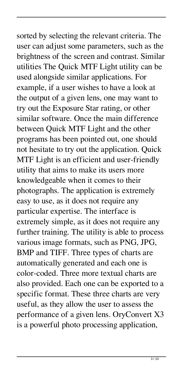sorted by selecting the relevant criteria. The user can adjust some parameters, such as the brightness of the screen and contrast. Similar utilities The Quick MTF Light utility can be used alongside similar applications. For example, if a user wishes to have a look at the output of a given lens, one may want to try out the Exposure Star rating, or other similar software. Once the main difference between Quick MTF Light and the other programs has been pointed out, one should not hesitate to try out the application. Quick MTF Light is an efficient and user-friendly utility that aims to make its users more knowledgeable when it comes to their photographs. The application is extremely easy to use, as it does not require any particular expertise. The interface is extremely simple, as it does not require any further training. The utility is able to process various image formats, such as PNG, JPG, BMP and TIFF. Three types of charts are automatically generated and each one is color-coded. Three more textual charts are also provided. Each one can be exported to a specific format. These three charts are very useful, as they allow the user to assess the performance of a given lens. OryConvert X3 is a powerful photo processing application,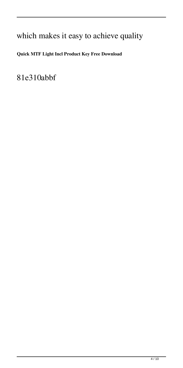### which makes it easy to achieve quality

### **Quick MTF Light Incl Product Key Free Download**

81e310abbf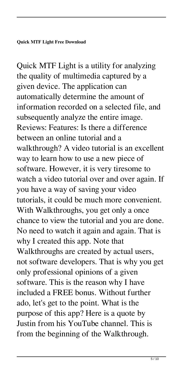Quick MTF Light is a utility for analyzing the quality of multimedia captured by a given device. The application can automatically determine the amount of information recorded on a selected file, and subsequently analyze the entire image. Reviews: Features: Is there a difference between an online tutorial and a walkthrough? A video tutorial is an excellent way to learn how to use a new piece of software. However, it is very tiresome to watch a video tutorial over and over again. If you have a way of saving your video tutorials, it could be much more convenient. With Walkthroughs, you get only a once chance to view the tutorial and you are done. No need to watch it again and again. That is why I created this app. Note that Walkthroughs are created by actual users, not software developers. That is why you get only professional opinions of a given software. This is the reason why I have included a FREE bonus. Without further ado, let's get to the point. What is the purpose of this app? Here is a quote by Justin from his YouTube channel. This is from the beginning of the Walkthrough.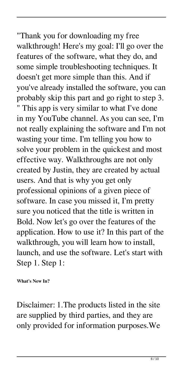"Thank you for downloading my free walkthrough! Here's my goal: I'll go over the features of the software, what they do, and some simple troubleshooting techniques. It doesn't get more simple than this. And if you've already installed the software, you can probably skip this part and go right to step 3. " This app is very similar to what I've done in my YouTube channel. As you can see, I'm not really explaining the software and I'm not wasting your time. I'm telling you how to solve your problem in the quickest and most effective way. Walkthroughs are not only created by Justin, they are created by actual users. And that is why you get only professional opinions of a given piece of software. In case you missed it, I'm pretty sure you noticed that the title is written in Bold. Now let's go over the features of the application. How to use it? In this part of the walkthrough, you will learn how to install, launch, and use the software. Let's start with Step 1. Step 1:

**What's New In?**

Disclaimer: 1.The products listed in the site are supplied by third parties, and they are only provided for information purposes.We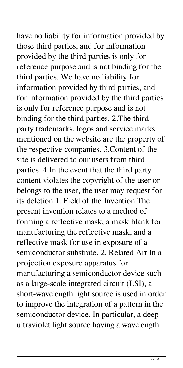have no liability for information provided by those third parties, and for information provided by the third parties is only for reference purpose and is not binding for the third parties. We have no liability for information provided by third parties, and for information provided by the third parties is only for reference purpose and is not binding for the third parties. 2.The third party trademarks, logos and service marks mentioned on the website are the property of the respective companies. 3.Content of the site is delivered to our users from third parties. 4.In the event that the third party content violates the copyright of the user or belongs to the user, the user may request for its deletion.1. Field of the Invention The present invention relates to a method of forming a reflective mask, a mask blank for manufacturing the reflective mask, and a reflective mask for use in exposure of a semiconductor substrate. 2. Related Art In a projection exposure apparatus for manufacturing a semiconductor device such as a large-scale integrated circuit (LSI), a short-wavelength light source is used in order to improve the integration of a pattern in the semiconductor device. In particular, a deepultraviolet light source having a wavelength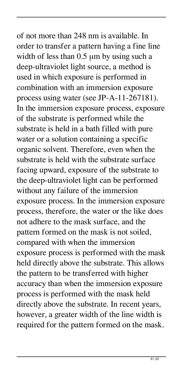of not more than 248 nm is available. In order to transfer a pattern having a fine line width of less than 0.5 μm by using such a deep-ultraviolet light source, a method is used in which exposure is performed in combination with an immersion exposure process using water (see JP-A-11-267181). In the immersion exposure process, exposure of the substrate is performed while the substrate is held in a bath filled with pure water or a solution containing a specific organic solvent. Therefore, even when the substrate is held with the substrate surface facing upward, exposure of the substrate to the deep-ultraviolet light can be performed without any failure of the immersion exposure process. In the immersion exposure process, therefore, the water or the like does not adhere to the mask surface, and the pattern formed on the mask is not soiled, compared with when the immersion exposure process is performed with the mask held directly above the substrate. This allows the pattern to be transferred with higher accuracy than when the immersion exposure process is performed with the mask held directly above the substrate. In recent years, however, a greater width of the line width is required for the pattern formed on the mask.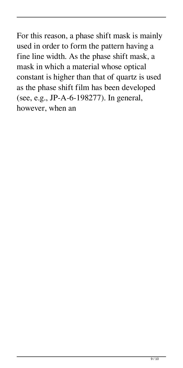For this reason, a phase shift mask is mainly used in order to form the pattern having a fine line width. As the phase shift mask, a mask in which a material whose optical constant is higher than that of quartz is used as the phase shift film has been developed (see, e.g., JP-A-6-198277). In general, however, when an